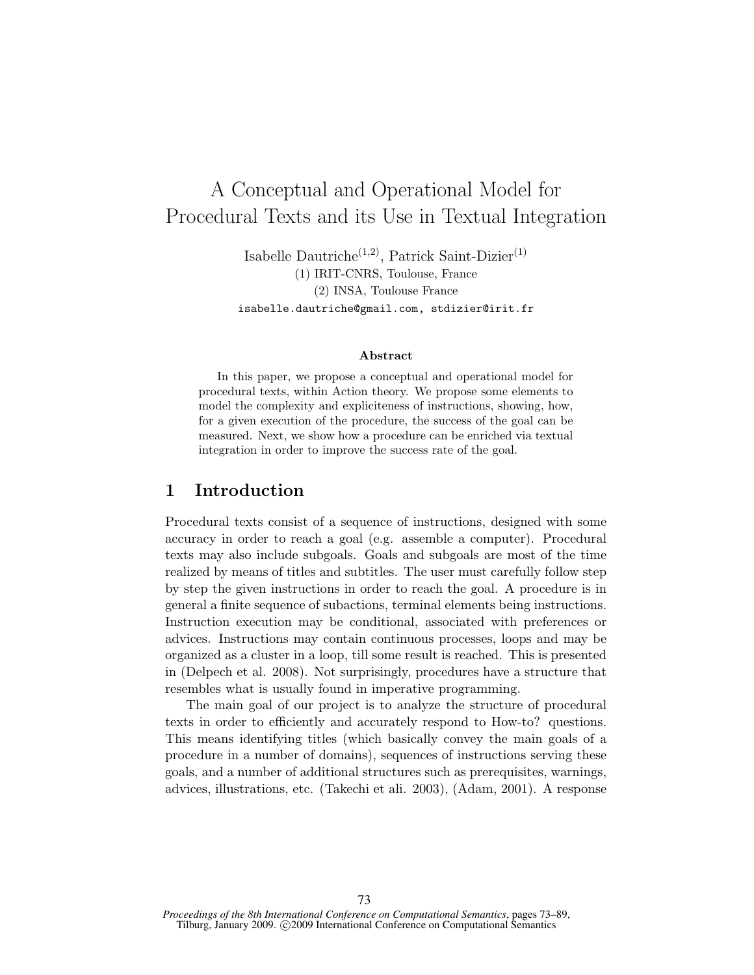# A Conceptual and Operational Model for Procedural Texts and its Use in Textual Integration

Isabelle Dautriche<sup>(1,2)</sup>, Patrick Saint-Dizier<sup>(1)</sup> (1) IRIT-CNRS, Toulouse, France (2) INSA, Toulouse France isabelle.dautriche@gmail.com, stdizier@irit.fr

#### Abstract

In this paper, we propose a conceptual and operational model for procedural texts, within Action theory. We propose some elements to model the complexity and expliciteness of instructions, showing, how, for a given execution of the procedure, the success of the goal can be measured. Next, we show how a procedure can be enriched via textual integration in order to improve the success rate of the goal.

### 1 Introduction

Procedural texts consist of a sequence of instructions, designed with some accuracy in order to reach a goal (e.g. assemble a computer). Procedural texts may also include subgoals. Goals and subgoals are most of the time realized by means of titles and subtitles. The user must carefully follow step by step the given instructions in order to reach the goal. A procedure is in general a finite sequence of subactions, terminal elements being instructions. Instruction execution may be conditional, associated with preferences or advices. Instructions may contain continuous processes, loops and may be organized as a cluster in a loop, till some result is reached. This is presented in (Delpech et al. 2008). Not surprisingly, procedures have a structure that resembles what is usually found in imperative programming.

The main goal of our project is to analyze the structure of procedural texts in order to efficiently and accurately respond to How-to? questions. This means identifying titles (which basically convey the main goals of a procedure in a number of domains), sequences of instructions serving these goals, and a number of additional structures such as prerequisites, warnings, advices, illustrations, etc. (Takechi et ali. 2003), (Adam, 2001). A response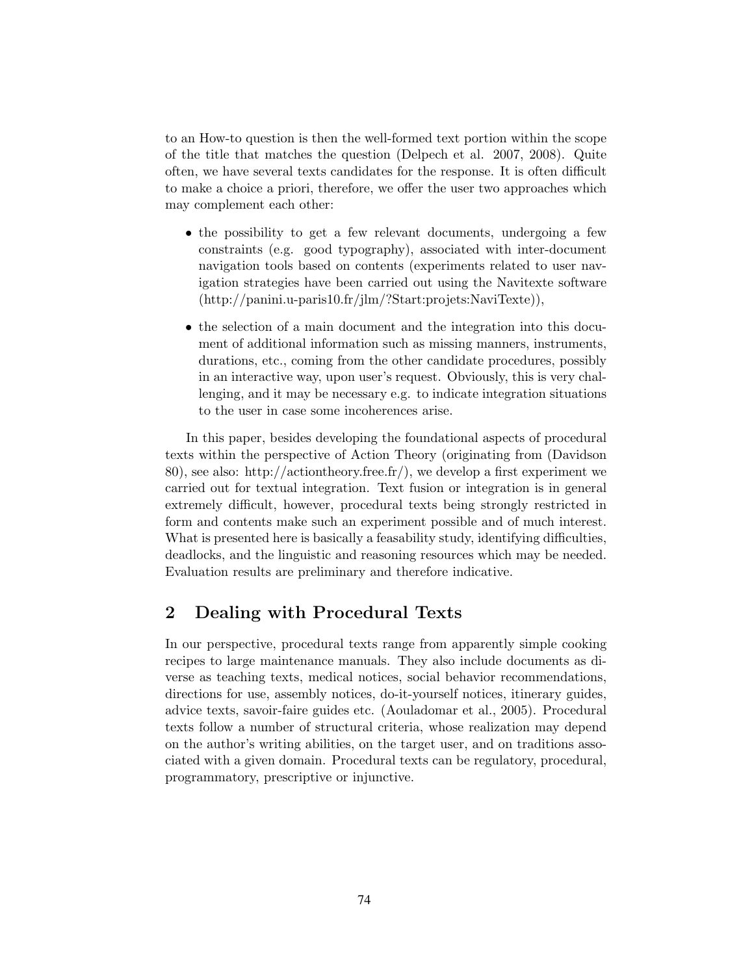to an How-to question is then the well-formed text portion within the scope of the title that matches the question (Delpech et al. 2007, 2008). Quite often, we have several texts candidates for the response. It is often difficult to make a choice a priori, therefore, we offer the user two approaches which may complement each other:

- the possibility to get a few relevant documents, undergoing a few constraints (e.g. good typography), associated with inter-document navigation tools based on contents (experiments related to user navigation strategies have been carried out using the Navitexte software (http://panini.u-paris10.fr/jlm/?Start:projets:NaviTexte)),
- the selection of a main document and the integration into this document of additional information such as missing manners, instruments, durations, etc., coming from the other candidate procedures, possibly in an interactive way, upon user's request. Obviously, this is very challenging, and it may be necessary e.g. to indicate integration situations to the user in case some incoherences arise.

In this paper, besides developing the foundational aspects of procedural texts within the perspective of Action Theory (originating from (Davidson 80), see also: http://actiontheory.free.fr/), we develop a first experiment we carried out for textual integration. Text fusion or integration is in general extremely difficult, however, procedural texts being strongly restricted in form and contents make such an experiment possible and of much interest. What is presented here is basically a feasability study, identifying difficulties, deadlocks, and the linguistic and reasoning resources which may be needed. Evaluation results are preliminary and therefore indicative.

# 2 Dealing with Procedural Texts

In our perspective, procedural texts range from apparently simple cooking recipes to large maintenance manuals. They also include documents as diverse as teaching texts, medical notices, social behavior recommendations, directions for use, assembly notices, do-it-yourself notices, itinerary guides, advice texts, savoir-faire guides etc. (Aouladomar et al., 2005). Procedural texts follow a number of structural criteria, whose realization may depend on the author's writing abilities, on the target user, and on traditions associated with a given domain. Procedural texts can be regulatory, procedural, programmatory, prescriptive or injunctive.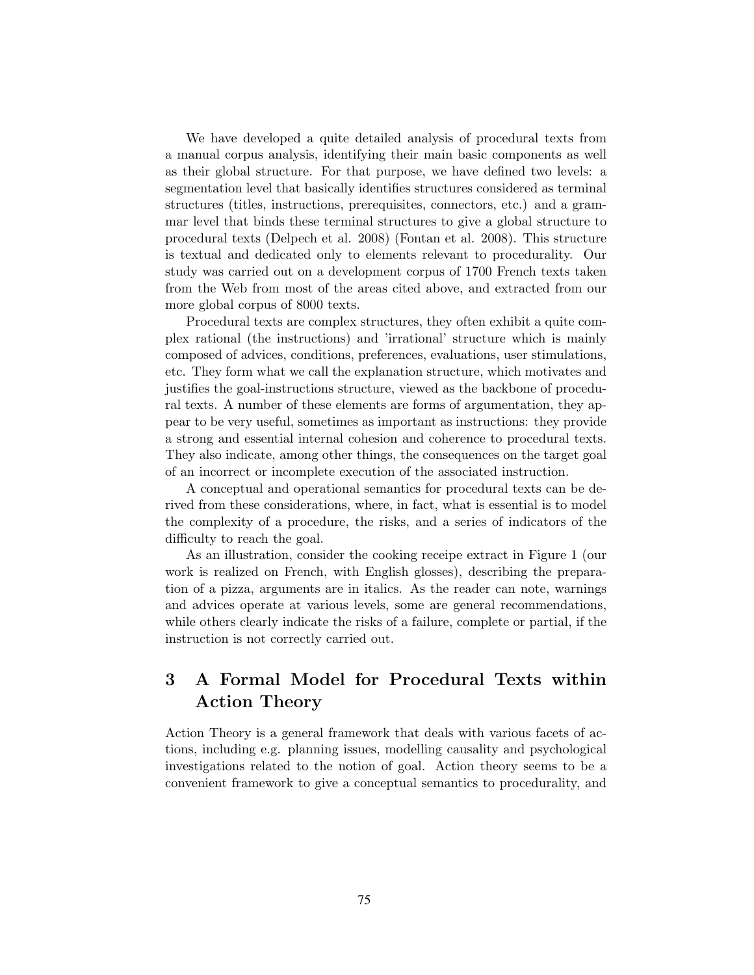We have developed a quite detailed analysis of procedural texts from a manual corpus analysis, identifying their main basic components as well as their global structure. For that purpose, we have defined two levels: a segmentation level that basically identifies structures considered as terminal structures (titles, instructions, prerequisites, connectors, etc.) and a grammar level that binds these terminal structures to give a global structure to procedural texts (Delpech et al. 2008) (Fontan et al. 2008). This structure is textual and dedicated only to elements relevant to procedurality. Our study was carried out on a development corpus of 1700 French texts taken from the Web from most of the areas cited above, and extracted from our more global corpus of 8000 texts.

Procedural texts are complex structures, they often exhibit a quite complex rational (the instructions) and 'irrational' structure which is mainly composed of advices, conditions, preferences, evaluations, user stimulations, etc. They form what we call the explanation structure, which motivates and justifies the goal-instructions structure, viewed as the backbone of procedural texts. A number of these elements are forms of argumentation, they appear to be very useful, sometimes as important as instructions: they provide a strong and essential internal cohesion and coherence to procedural texts. They also indicate, among other things, the consequences on the target goal of an incorrect or incomplete execution of the associated instruction.

A conceptual and operational semantics for procedural texts can be derived from these considerations, where, in fact, what is essential is to model the complexity of a procedure, the risks, and a series of indicators of the difficulty to reach the goal.

As an illustration, consider the cooking receipe extract in Figure 1 (our work is realized on French, with English glosses), describing the preparation of a pizza, arguments are in italics. As the reader can note, warnings and advices operate at various levels, some are general recommendations, while others clearly indicate the risks of a failure, complete or partial, if the instruction is not correctly carried out.

# 3 A Formal Model for Procedural Texts within Action Theory

Action Theory is a general framework that deals with various facets of actions, including e.g. planning issues, modelling causality and psychological investigations related to the notion of goal. Action theory seems to be a convenient framework to give a conceptual semantics to procedurality, and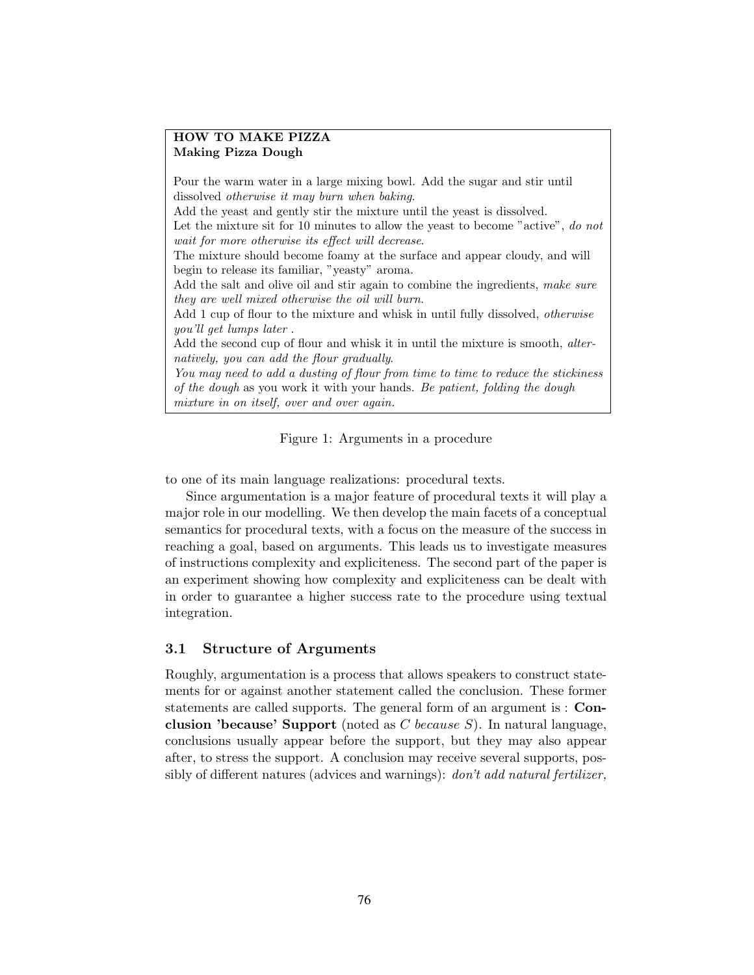#### HOW TO MAKE PIZZA Making Pizza Dough

Pour the warm water in a large mixing bowl. Add the sugar and stir until dissolved otherwise it may burn when baking.

Add the yeast and gently stir the mixture until the yeast is dissolved.

Let the mixture sit for 10 minutes to allow the yeast to become "active", do not wait for more otherwise its effect will decrease.

The mixture should become foamy at the surface and appear cloudy, and will begin to release its familiar, "yeasty" aroma.

Add the salt and olive oil and stir again to combine the ingredients, make sure they are well mixed otherwise the oil will burn.

Add 1 cup of flour to the mixture and whisk in until fully dissolved, *otherwise* you'll get lumps later .

Add the second cup of flour and whisk it in until the mixture is smooth, alternatively, you can add the flour gradually.

You may need to add a dusting of flour from time to time to reduce the stickiness of the dough as you work it with your hands. Be patient, folding the dough mixture in on itself, over and over again.

Figure 1: Arguments in a procedure

to one of its main language realizations: procedural texts.

Since argumentation is a major feature of procedural texts it will play a major role in our modelling. We then develop the main facets of a conceptual semantics for procedural texts, with a focus on the measure of the success in reaching a goal, based on arguments. This leads us to investigate measures of instructions complexity and expliciteness. The second part of the paper is an experiment showing how complexity and expliciteness can be dealt with in order to guarantee a higher success rate to the procedure using textual integration.

#### 3.1 Structure of Arguments

Roughly, argumentation is a process that allows speakers to construct statements for or against another statement called the conclusion. These former statements are called supports. The general form of an argument is : Conclusion 'because' Support (noted as  $C$  because  $S$ ). In natural language, conclusions usually appear before the support, but they may also appear after, to stress the support. A conclusion may receive several supports, possibly of different natures (advices and warnings): don't add natural fertilizer,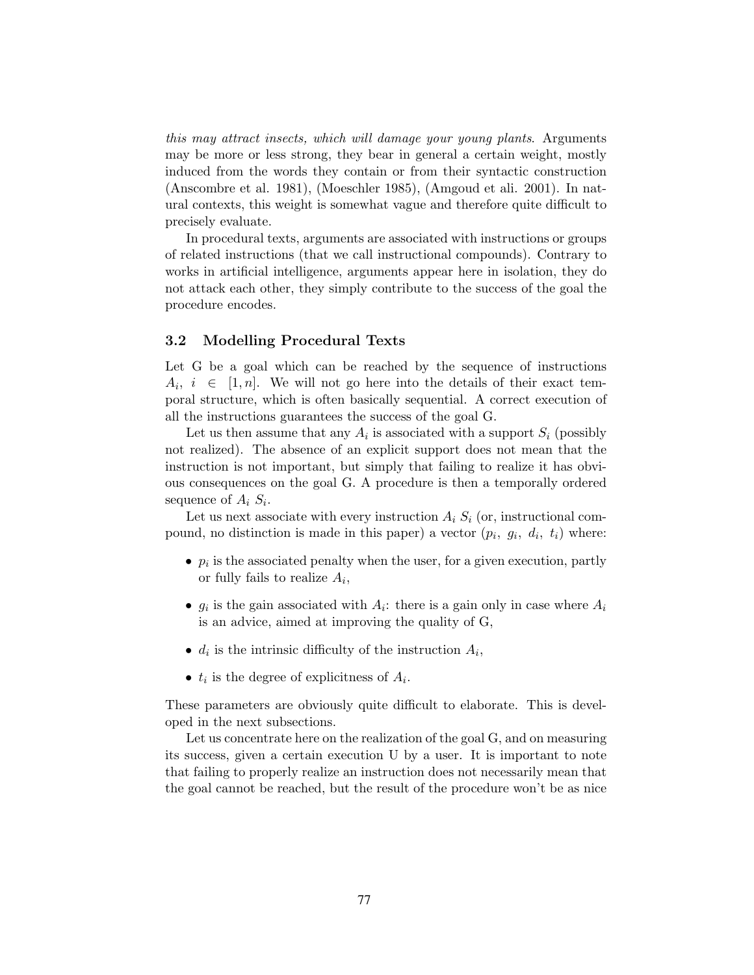this may attract insects, which will damage your young plants. Arguments may be more or less strong, they bear in general a certain weight, mostly induced from the words they contain or from their syntactic construction (Anscombre et al. 1981), (Moeschler 1985), (Amgoud et ali. 2001). In natural contexts, this weight is somewhat vague and therefore quite difficult to precisely evaluate.

In procedural texts, arguments are associated with instructions or groups of related instructions (that we call instructional compounds). Contrary to works in artificial intelligence, arguments appear here in isolation, they do not attack each other, they simply contribute to the success of the goal the procedure encodes.

#### 3.2 Modelling Procedural Texts

Let G be a goal which can be reached by the sequence of instructions  $A_i, i \in [1, n]$ . We will not go here into the details of their exact temporal structure, which is often basically sequential. A correct execution of all the instructions guarantees the success of the goal G.

Let us then assume that any  $A_i$  is associated with a support  $S_i$  (possibly not realized). The absence of an explicit support does not mean that the instruction is not important, but simply that failing to realize it has obvious consequences on the goal G. A procedure is then a temporally ordered sequence of  $A_i S_i$ .

Let us next associate with every instruction  $A_i S_i$  (or, instructional compound, no distinction is made in this paper) a vector  $(p_i, g_i, d_i, t_i)$  where:

- $p_i$  is the associated penalty when the user, for a given execution, partly or fully fails to realize  $A_i$ ,
- $g_i$  is the gain associated with  $A_i$ : there is a gain only in case where  $A_i$ is an advice, aimed at improving the quality of G,
- $d_i$  is the intrinsic difficulty of the instruction  $A_i$ ,
- $t_i$  is the degree of explicitness of  $A_i$ .

These parameters are obviously quite difficult to elaborate. This is developed in the next subsections.

Let us concentrate here on the realization of the goal G, and on measuring its success, given a certain execution U by a user. It is important to note that failing to properly realize an instruction does not necessarily mean that the goal cannot be reached, but the result of the procedure won't be as nice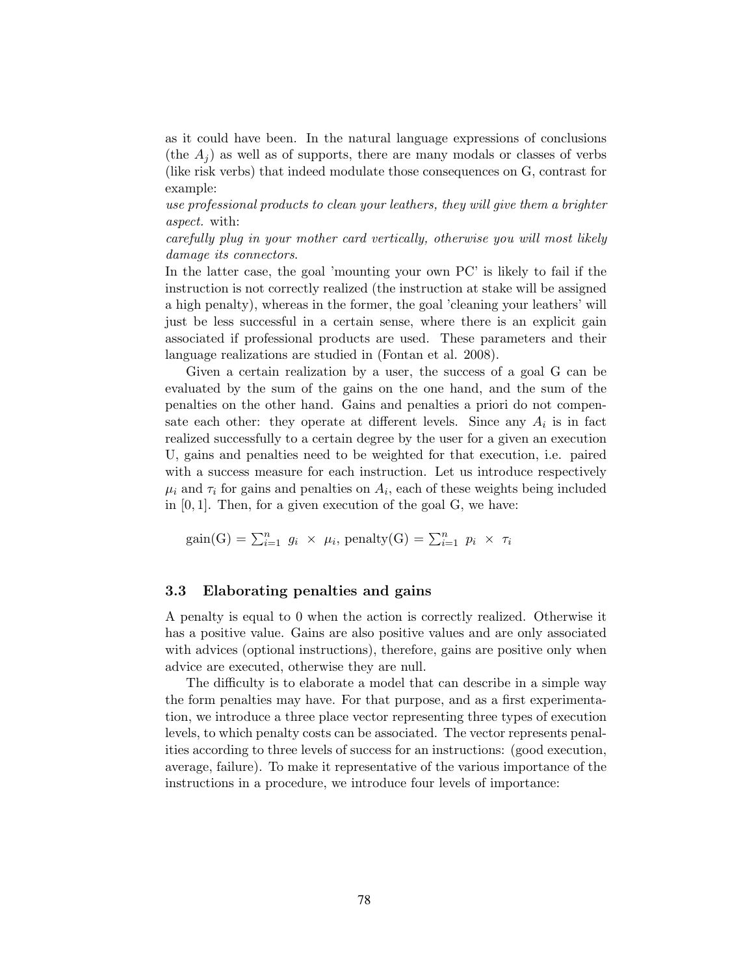as it could have been. In the natural language expressions of conclusions (the  $A_i$ ) as well as of supports, there are many modals or classes of verbs (like risk verbs) that indeed modulate those consequences on G, contrast for example:

use professional products to clean your leathers, they will give them a brighter aspect. with:

carefully plug in your mother card vertically, otherwise you will most likely damage its connectors.

In the latter case, the goal 'mounting your own PC' is likely to fail if the instruction is not correctly realized (the instruction at stake will be assigned a high penalty), whereas in the former, the goal 'cleaning your leathers' will just be less successful in a certain sense, where there is an explicit gain associated if professional products are used. These parameters and their language realizations are studied in (Fontan et al. 2008).

Given a certain realization by a user, the success of a goal G can be evaluated by the sum of the gains on the one hand, and the sum of the penalties on the other hand. Gains and penalties a priori do not compensate each other: they operate at different levels. Since any  $A_i$  is in fact realized successfully to a certain degree by the user for a given an execution U, gains and penalties need to be weighted for that execution, i.e. paired with a success measure for each instruction. Let us introduce respectively  $\mu_i$  and  $\tau_i$  for gains and penalties on  $A_i$ , each of these weights being included in [0, 1]. Then, for a given execution of the goal G, we have:

 $gain(G) = \sum_{i=1}^{n} g_i \times \mu_i$ , penalty $(G) = \sum_{i=1}^{n} p_i \times \tau_i$ 

#### 3.3 Elaborating penalties and gains

A penalty is equal to 0 when the action is correctly realized. Otherwise it has a positive value. Gains are also positive values and are only associated with advices (optional instructions), therefore, gains are positive only when advice are executed, otherwise they are null.

The difficulty is to elaborate a model that can describe in a simple way the form penalties may have. For that purpose, and as a first experimentation, we introduce a three place vector representing three types of execution levels, to which penalty costs can be associated. The vector represents penalities according to three levels of success for an instructions: (good execution, average, failure). To make it representative of the various importance of the instructions in a procedure, we introduce four levels of importance: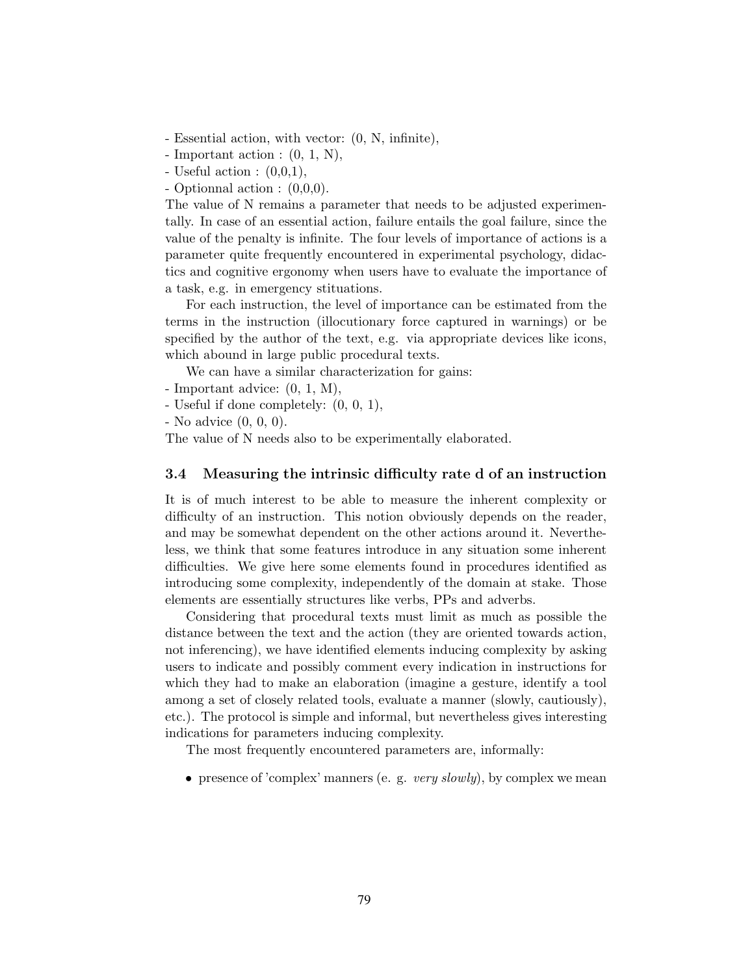- Essential action, with vector: (0, N, infinite),

- Important action :  $(0, 1, N)$ ,

- Useful action :  $(0,0,1)$ ,

- Optionnal action : (0,0,0).

The value of N remains a parameter that needs to be adjusted experimentally. In case of an essential action, failure entails the goal failure, since the value of the penalty is infinite. The four levels of importance of actions is a parameter quite frequently encountered in experimental psychology, didactics and cognitive ergonomy when users have to evaluate the importance of a task, e.g. in emergency stituations.

For each instruction, the level of importance can be estimated from the terms in the instruction (illocutionary force captured in warnings) or be specified by the author of the text, e.g. via appropriate devices like icons, which abound in large public procedural texts.

We can have a similar characterization for gains:

- Important advice: (0, 1, M),

- Useful if done completely: (0, 0, 1),

- No advice (0, 0, 0).

The value of N needs also to be experimentally elaborated.

#### 3.4 Measuring the intrinsic difficulty rate d of an instruction

It is of much interest to be able to measure the inherent complexity or difficulty of an instruction. This notion obviously depends on the reader, and may be somewhat dependent on the other actions around it. Nevertheless, we think that some features introduce in any situation some inherent difficulties. We give here some elements found in procedures identified as introducing some complexity, independently of the domain at stake. Those elements are essentially structures like verbs, PPs and adverbs.

Considering that procedural texts must limit as much as possible the distance between the text and the action (they are oriented towards action, not inferencing), we have identified elements inducing complexity by asking users to indicate and possibly comment every indication in instructions for which they had to make an elaboration (imagine a gesture, identify a tool among a set of closely related tools, evaluate a manner (slowly, cautiously), etc.). The protocol is simple and informal, but nevertheless gives interesting indications for parameters inducing complexity.

The most frequently encountered parameters are, informally:

• presence of 'complex' manners (e. g. *very slowly*), by complex we mean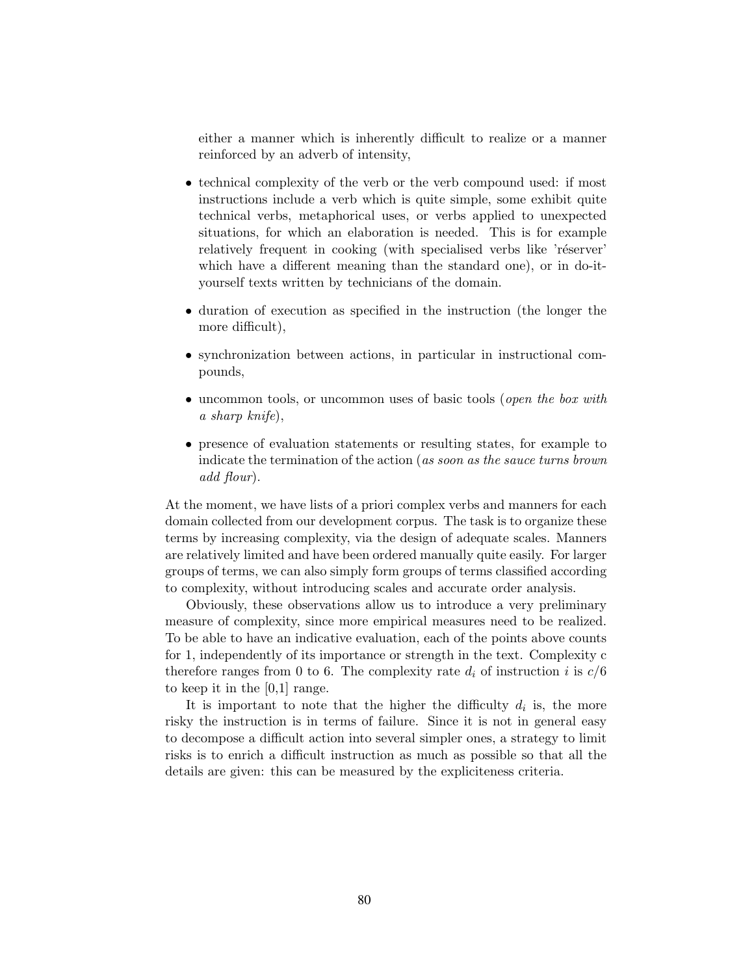either a manner which is inherently difficult to realize or a manner reinforced by an adverb of intensity,

- technical complexity of the verb or the verb compound used: if most instructions include a verb which is quite simple, some exhibit quite technical verbs, metaphorical uses, or verbs applied to unexpected situations, for which an elaboration is needed. This is for example relatively frequent in cooking (with specialised verbs like 'réserver' which have a different meaning than the standard one), or in do-ityourself texts written by technicians of the domain.
- duration of execution as specified in the instruction (the longer the more difficult),
- synchronization between actions, in particular in instructional compounds,
- uncommon tools, or uncommon uses of basic tools (*open the box with* a sharp knife),
- presence of evaluation statements or resulting states, for example to indicate the termination of the action (as soon as the sauce turns brown add flour).

At the moment, we have lists of a priori complex verbs and manners for each domain collected from our development corpus. The task is to organize these terms by increasing complexity, via the design of adequate scales. Manners are relatively limited and have been ordered manually quite easily. For larger groups of terms, we can also simply form groups of terms classified according to complexity, without introducing scales and accurate order analysis.

Obviously, these observations allow us to introduce a very preliminary measure of complexity, since more empirical measures need to be realized. To be able to have an indicative evaluation, each of the points above counts for 1, independently of its importance or strength in the text. Complexity c therefore ranges from 0 to 6. The complexity rate  $d_i$  of instruction i is  $c/6$ to keep it in the [0,1] range.

It is important to note that the higher the difficulty  $d_i$  is, the more risky the instruction is in terms of failure. Since it is not in general easy to decompose a difficult action into several simpler ones, a strategy to limit risks is to enrich a difficult instruction as much as possible so that all the details are given: this can be measured by the expliciteness criteria.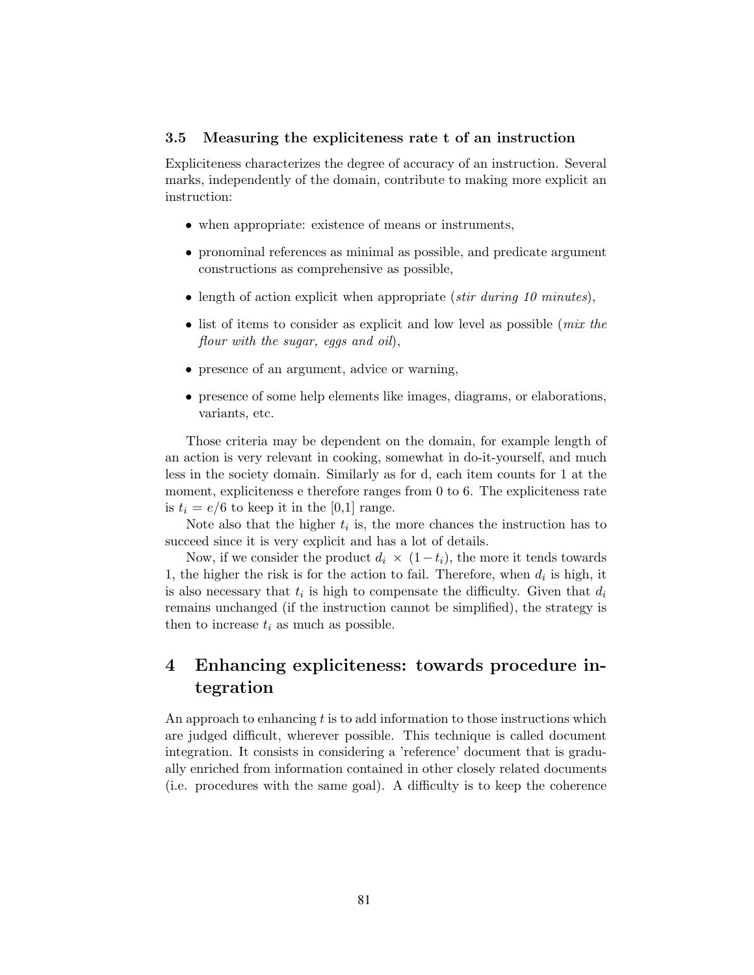#### 3.5 Measuring the expliciteness rate t of an instruction

Expliciteness characterizes the degree of accuracy of an instruction. Several marks, independently of the domain, contribute to making more explicit an instruction:

- when appropriate: existence of means or instruments,
- pronominal references as minimal as possible, and predicate argument constructions as comprehensive as possible,
- length of action explicit when appropriate (stir during 10 minutes),
- list of items to consider as explicit and low level as possible (*mix the* flour with the sugar, eggs and oil),
- presence of an argument, advice or warning,
- presence of some help elements like images, diagrams, or elaborations, variants, etc.

Those criteria may be dependent on the domain, for example length of an action is very relevant in cooking, somewhat in do-it-yourself, and much less in the society domain. Similarly as for d, each item counts for 1 at the moment, expliciteness e therefore ranges from 0 to 6. The expliciteness rate is  $t_i = e/6$  to keep it in the [0,1] range.

Note also that the higher  $t_i$  is, the more chances the instruction has to succeed since it is very explicit and has a lot of details.

Now, if we consider the product  $d_i \times (1-t_i)$ , the more it tends towards 1, the higher the risk is for the action to fail. Therefore, when  $d_i$  is high, it is also necessary that  $t_i$  is high to compensate the difficulty. Given that  $d_i$ remains unchanged (if the instruction cannot be simplified), the strategy is then to increase  $t_i$  as much as possible.

# 4 Enhancing expliciteness: towards procedure integration

An approach to enhancing  $t$  is to add information to those instructions which are judged difficult, wherever possible. This technique is called document integration. It consists in considering a 'reference' document that is gradually enriched from information contained in other closely related documents (i.e. procedures with the same goal). A difficulty is to keep the coherence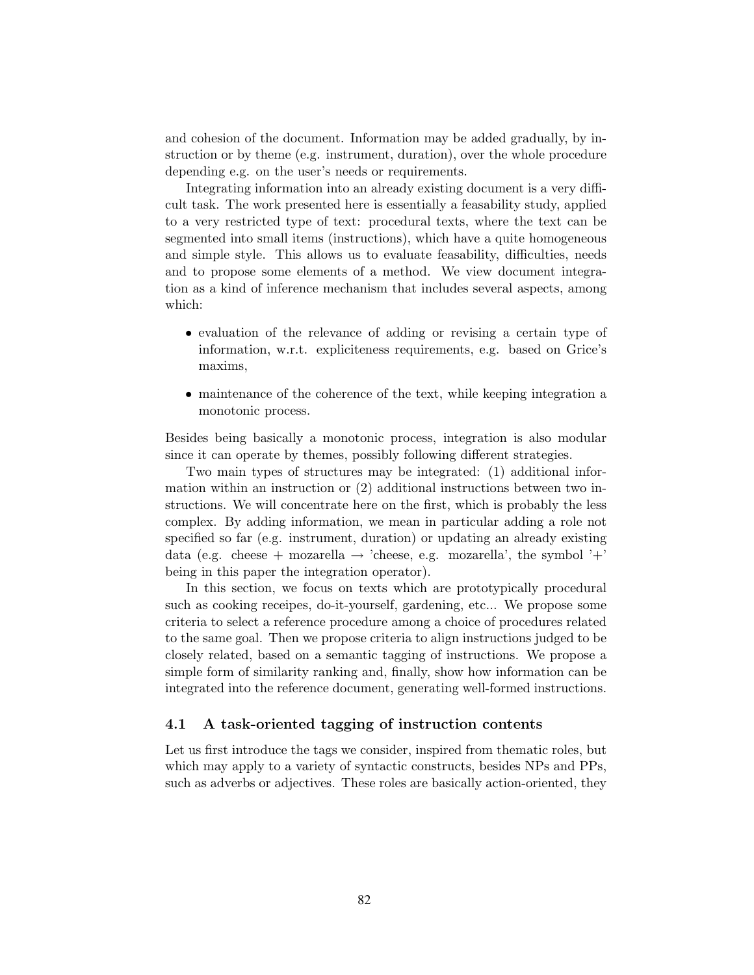and cohesion of the document. Information may be added gradually, by instruction or by theme (e.g. instrument, duration), over the whole procedure depending e.g. on the user's needs or requirements.

Integrating information into an already existing document is a very difficult task. The work presented here is essentially a feasability study, applied to a very restricted type of text: procedural texts, where the text can be segmented into small items (instructions), which have a quite homogeneous and simple style. This allows us to evaluate feasability, difficulties, needs and to propose some elements of a method. We view document integration as a kind of inference mechanism that includes several aspects, among which:

- evaluation of the relevance of adding or revising a certain type of information, w.r.t. expliciteness requirements, e.g. based on Grice's maxims,
- maintenance of the coherence of the text, while keeping integration a monotonic process.

Besides being basically a monotonic process, integration is also modular since it can operate by themes, possibly following different strategies.

Two main types of structures may be integrated: (1) additional information within an instruction or (2) additional instructions between two instructions. We will concentrate here on the first, which is probably the less complex. By adding information, we mean in particular adding a role not specified so far (e.g. instrument, duration) or updating an already existing data (e.g. cheese + mozarella  $\rightarrow$  'cheese, e.g. mozarella', the symbol '+' being in this paper the integration operator).

In this section, we focus on texts which are prototypically procedural such as cooking receipes, do-it-yourself, gardening, etc... We propose some criteria to select a reference procedure among a choice of procedures related to the same goal. Then we propose criteria to align instructions judged to be closely related, based on a semantic tagging of instructions. We propose a simple form of similarity ranking and, finally, show how information can be integrated into the reference document, generating well-formed instructions.

#### 4.1 A task-oriented tagging of instruction contents

Let us first introduce the tags we consider, inspired from thematic roles, but which may apply to a variety of syntactic constructs, besides NPs and PPs, such as adverbs or adjectives. These roles are basically action-oriented, they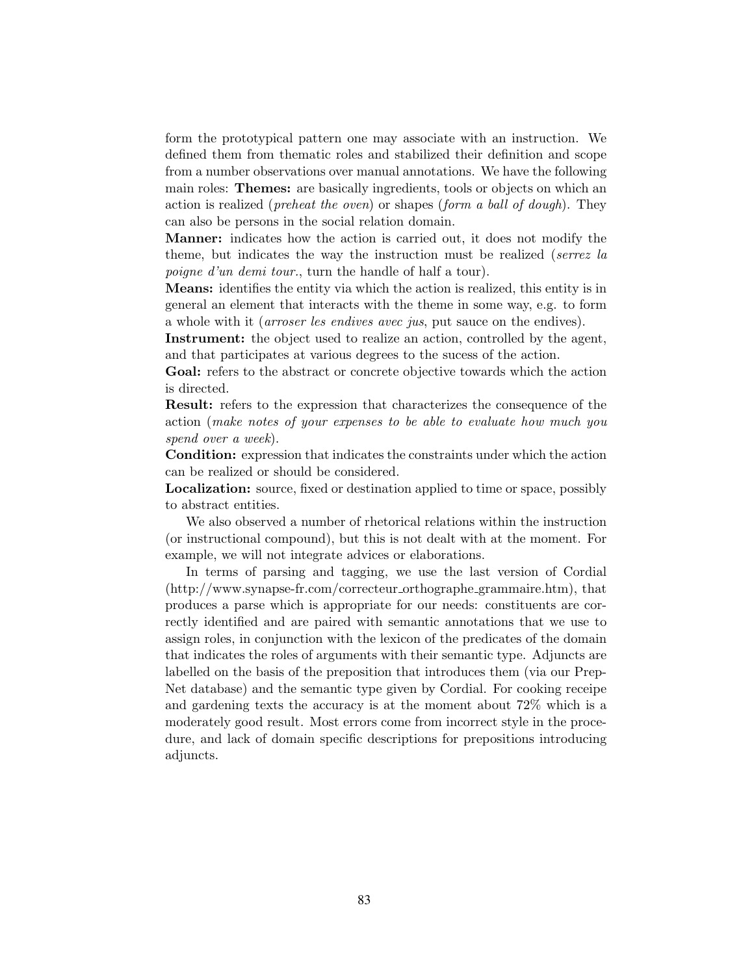form the prototypical pattern one may associate with an instruction. We defined them from thematic roles and stabilized their definition and scope from a number observations over manual annotations. We have the following main roles: **Themes:** are basically ingredients, tools or objects on which an action is realized (*preheat the oven*) or shapes (*form a ball of dough*). They can also be persons in the social relation domain.

Manner: indicates how the action is carried out, it does not modify the theme, but indicates the way the instruction must be realized (serrez la poigne d'un demi tour., turn the handle of half a tour).

Means: identifies the entity via which the action is realized, this entity is in general an element that interacts with the theme in some way, e.g. to form a whole with it (arroser les endives avec jus, put sauce on the endives).

Instrument: the object used to realize an action, controlled by the agent, and that participates at various degrees to the sucess of the action.

Goal: refers to the abstract or concrete objective towards which the action is directed.

Result: refers to the expression that characterizes the consequence of the action (make notes of your expenses to be able to evaluate how much you spend over a week).

Condition: expression that indicates the constraints under which the action can be realized or should be considered.

Localization: source, fixed or destination applied to time or space, possibly to abstract entities.

We also observed a number of rhetorical relations within the instruction (or instructional compound), but this is not dealt with at the moment. For example, we will not integrate advices or elaborations.

In terms of parsing and tagging, we use the last version of Cordial (http://www.synapse-fr.com/correcteur orthographe grammaire.htm), that produces a parse which is appropriate for our needs: constituents are correctly identified and are paired with semantic annotations that we use to assign roles, in conjunction with the lexicon of the predicates of the domain that indicates the roles of arguments with their semantic type. Adjuncts are labelled on the basis of the preposition that introduces them (via our Prep-Net database) and the semantic type given by Cordial. For cooking receipe and gardening texts the accuracy is at the moment about 72% which is a moderately good result. Most errors come from incorrect style in the procedure, and lack of domain specific descriptions for prepositions introducing adjuncts.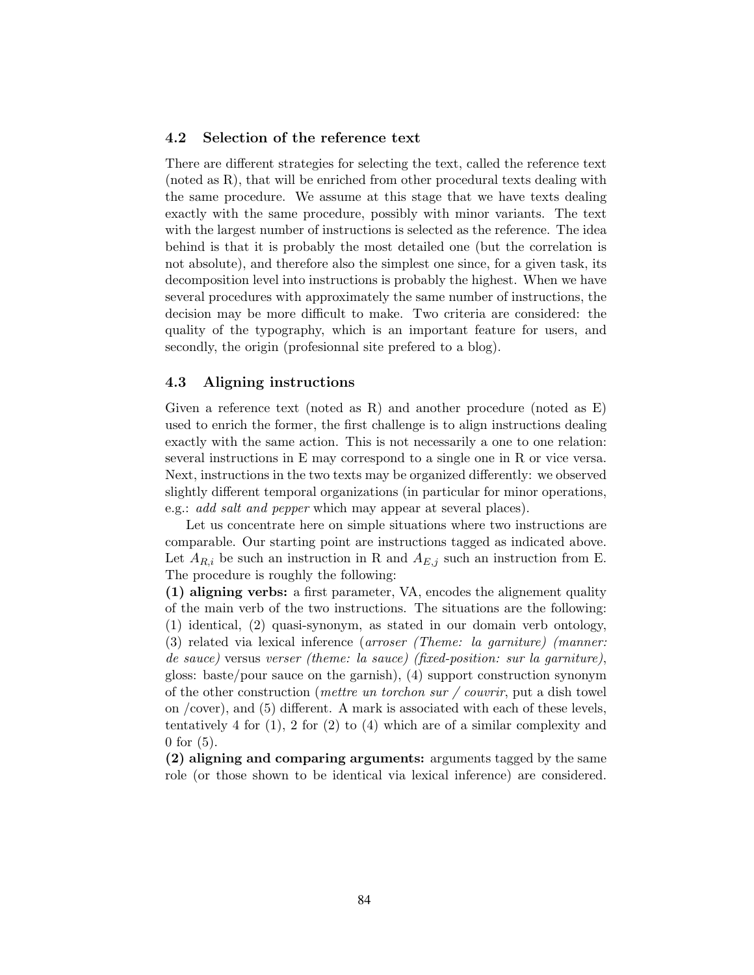#### 4.2 Selection of the reference text

There are different strategies for selecting the text, called the reference text (noted as R), that will be enriched from other procedural texts dealing with the same procedure. We assume at this stage that we have texts dealing exactly with the same procedure, possibly with minor variants. The text with the largest number of instructions is selected as the reference. The idea behind is that it is probably the most detailed one (but the correlation is not absolute), and therefore also the simplest one since, for a given task, its decomposition level into instructions is probably the highest. When we have several procedures with approximately the same number of instructions, the decision may be more difficult to make. Two criteria are considered: the quality of the typography, which is an important feature for users, and secondly, the origin (profesionnal site prefered to a blog).

#### 4.3 Aligning instructions

Given a reference text (noted as R) and another procedure (noted as E) used to enrich the former, the first challenge is to align instructions dealing exactly with the same action. This is not necessarily a one to one relation: several instructions in E may correspond to a single one in R or vice versa. Next, instructions in the two texts may be organized differently: we observed slightly different temporal organizations (in particular for minor operations, e.g.: add salt and pepper which may appear at several places).

Let us concentrate here on simple situations where two instructions are comparable. Our starting point are instructions tagged as indicated above. Let  $A_{R,i}$  be such an instruction in R and  $A_{E,j}$  such an instruction from E. The procedure is roughly the following:

(1) aligning verbs: a first parameter, VA, encodes the alignement quality of the main verb of the two instructions. The situations are the following: (1) identical, (2) quasi-synonym, as stated in our domain verb ontology, (3) related via lexical inference (arroser (Theme: la garniture) (manner: de sauce) versus verser (theme: la sauce) (fixed-position: sur la garniture), gloss: baste/pour sauce on the garnish), (4) support construction synonym of the other construction (*mettre un torchon sur / couvrir*, put a dish towel on /cover), and (5) different. A mark is associated with each of these levels, tentatively 4 for  $(1)$ , 2 for  $(2)$  to  $(4)$  which are of a similar complexity and 0 for (5).

(2) aligning and comparing arguments: arguments tagged by the same role (or those shown to be identical via lexical inference) are considered.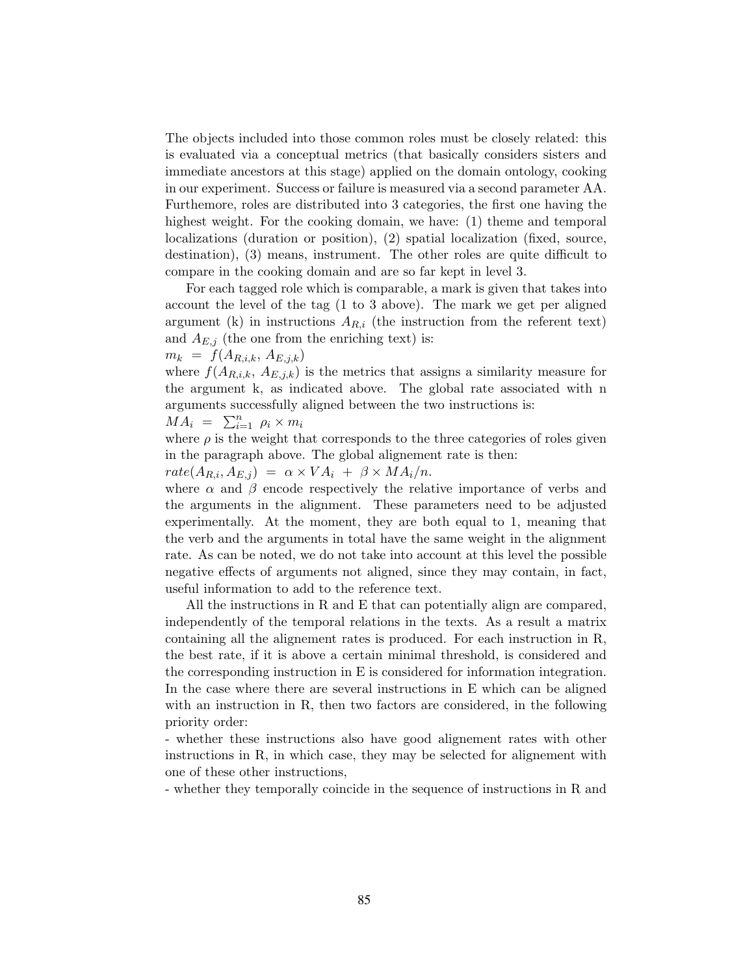The objects included into those common roles must be closely related: this is evaluated via a conceptual metrics (that basically considers sisters and immediate ancestors at this stage) applied on the domain ontology, cooking in our experiment. Success or failure is measured via a second parameter AA. Furthemore, roles are distributed into 3 categories, the first one having the highest weight. For the cooking domain, we have: (1) theme and temporal localizations (duration or position), (2) spatial localization (fixed, source, destination), (3) means, instrument. The other roles are quite difficult to compare in the cooking domain and are so far kept in level 3.

For each tagged role which is comparable, a mark is given that takes into account the level of the tag (1 to 3 above). The mark we get per aligned argument (k) in instructions  $A_{R,i}$  (the instruction from the referent text) and  $A_{E,j}$  (the one from the enriching text) is:

 $m_k = f(A_{R,i,k}, A_{E,j,k})$ 

where  $f(A_{R,i,k}, A_{E,j,k})$  is the metrics that assigns a similarity measure for the argument k, as indicated above. The global rate associated with n arguments successfully aligned between the two instructions is:

$$
MA_i = \sum_{i=1}^n \rho_i \times m_i
$$

where  $\rho$  is the weight that corresponds to the three categories of roles given in the paragraph above. The global alignement rate is then:

 $rate(A_{R,i}, A_{E,j}) = \alpha \times VA_i + \beta \times MA_i/n.$ 

where  $\alpha$  and  $\beta$  encode respectively the relative importance of verbs and the arguments in the alignment. These parameters need to be adjusted experimentally. At the moment, they are both equal to 1, meaning that the verb and the arguments in total have the same weight in the alignment rate. As can be noted, we do not take into account at this level the possible negative effects of arguments not aligned, since they may contain, in fact, useful information to add to the reference text.

All the instructions in R and E that can potentially align are compared, independently of the temporal relations in the texts. As a result a matrix containing all the alignement rates is produced. For each instruction in R, the best rate, if it is above a certain minimal threshold, is considered and the corresponding instruction in E is considered for information integration. In the case where there are several instructions in E which can be aligned with an instruction in R, then two factors are considered, in the following priority order:

- whether these instructions also have good alignement rates with other instructions in R, in which case, they may be selected for alignement with one of these other instructions,

- whether they temporally coincide in the sequence of instructions in R and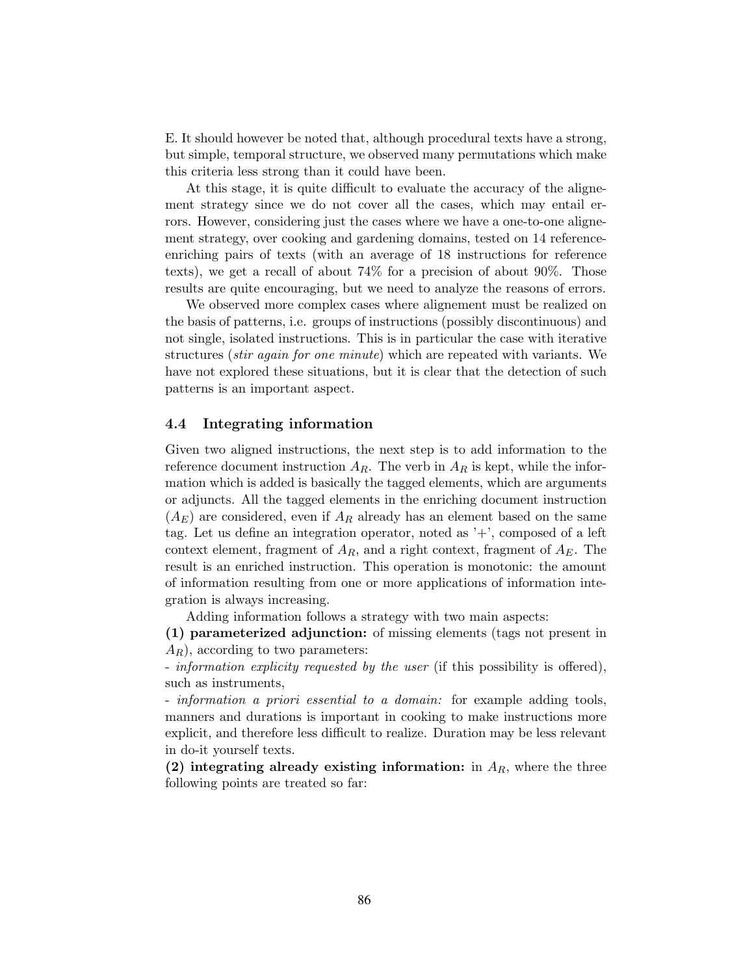E. It should however be noted that, although procedural texts have a strong, but simple, temporal structure, we observed many permutations which make this criteria less strong than it could have been.

At this stage, it is quite difficult to evaluate the accuracy of the alignement strategy since we do not cover all the cases, which may entail errors. However, considering just the cases where we have a one-to-one alignement strategy, over cooking and gardening domains, tested on 14 referenceenriching pairs of texts (with an average of 18 instructions for reference texts), we get a recall of about 74% for a precision of about 90%. Those results are quite encouraging, but we need to analyze the reasons of errors.

We observed more complex cases where alignement must be realized on the basis of patterns, i.e. groups of instructions (possibly discontinuous) and not single, isolated instructions. This is in particular the case with iterative structures *(stir again for one minute)* which are repeated with variants. We have not explored these situations, but it is clear that the detection of such patterns is an important aspect.

#### 4.4 Integrating information

Given two aligned instructions, the next step is to add information to the reference document instruction  $A_R$ . The verb in  $A_R$  is kept, while the information which is added is basically the tagged elements, which are arguments or adjuncts. All the tagged elements in the enriching document instruction  $(A<sub>E</sub>)$  are considered, even if  $A<sub>R</sub>$  already has an element based on the same tag. Let us define an integration operator, noted as '+', composed of a left context element, fragment of  $A_R$ , and a right context, fragment of  $A_F$ . The result is an enriched instruction. This operation is monotonic: the amount of information resulting from one or more applications of information integration is always increasing.

Adding information follows a strategy with two main aspects:

(1) parameterized adjunction: of missing elements (tags not present in  $A_R$ , according to two parameters:

- information explicity requested by the user (if this possibility is offered), such as instruments,

- information a priori essential to a domain: for example adding tools, manners and durations is important in cooking to make instructions more explicit, and therefore less difficult to realize. Duration may be less relevant in do-it yourself texts.

(2) integrating already existing information: in  $A_R$ , where the three following points are treated so far: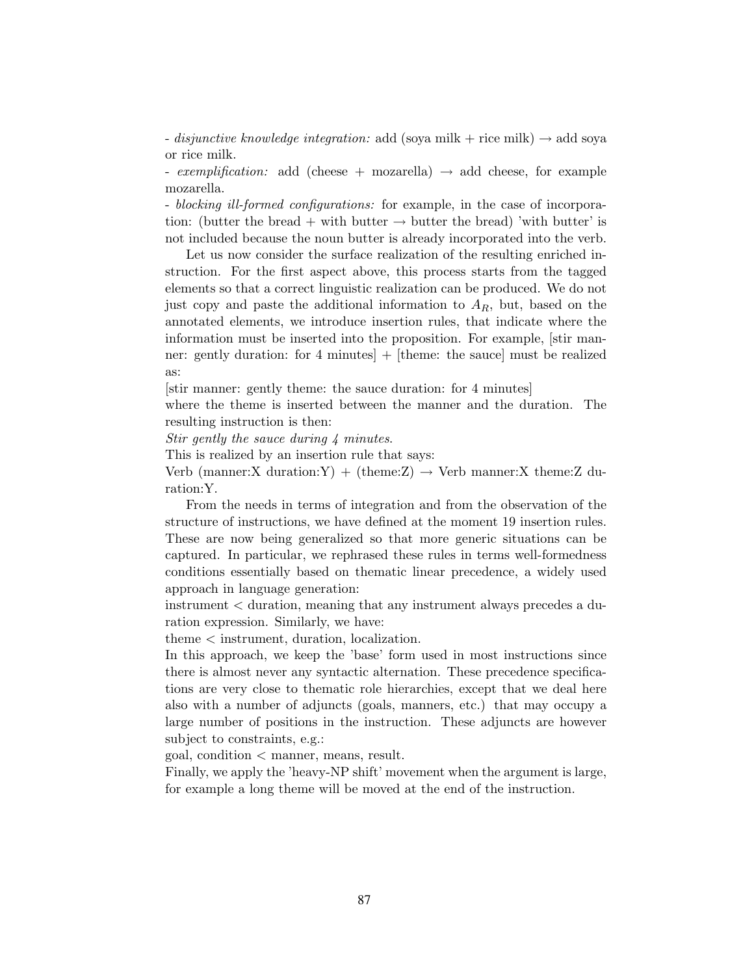- disjunctive knowledge integration: add (soya milk + rice milk)  $\rightarrow$  add soya or rice milk.

- exemplification: add (cheese + mozarella)  $\rightarrow$  add cheese, for example mozarella.

- blocking ill-formed configurations: for example, in the case of incorporation: (butter the bread + with butter  $\rightarrow$  butter the bread) 'with butter' is not included because the noun butter is already incorporated into the verb.

Let us now consider the surface realization of the resulting enriched instruction. For the first aspect above, this process starts from the tagged elements so that a correct linguistic realization can be produced. We do not just copy and paste the additional information to  $A_R$ , but, based on the annotated elements, we introduce insertion rules, that indicate where the information must be inserted into the proposition. For example, [stir manner: gently duration: for 4 minutes] + [theme: the sauce] must be realized as:

[stir manner: gently theme: the sauce duration: for 4 minutes]

where the theme is inserted between the manner and the duration. The resulting instruction is then:

Stir gently the sauce during 4 minutes.

This is realized by an insertion rule that says:

Verb (manner:X duration:Y) + (theme:Z)  $\rightarrow$  Verb manner:X theme:Z duration:Y.

From the needs in terms of integration and from the observation of the structure of instructions, we have defined at the moment 19 insertion rules. These are now being generalized so that more generic situations can be captured. In particular, we rephrased these rules in terms well-formedness conditions essentially based on thematic linear precedence, a widely used approach in language generation:

instrument < duration, meaning that any instrument always precedes a duration expression. Similarly, we have:

theme < instrument, duration, localization.

In this approach, we keep the 'base' form used in most instructions since there is almost never any syntactic alternation. These precedence specifications are very close to thematic role hierarchies, except that we deal here also with a number of adjuncts (goals, manners, etc.) that may occupy a large number of positions in the instruction. These adjuncts are however subject to constraints, e.g.:

goal, condition < manner, means, result.

Finally, we apply the 'heavy-NP shift' movement when the argument is large, for example a long theme will be moved at the end of the instruction.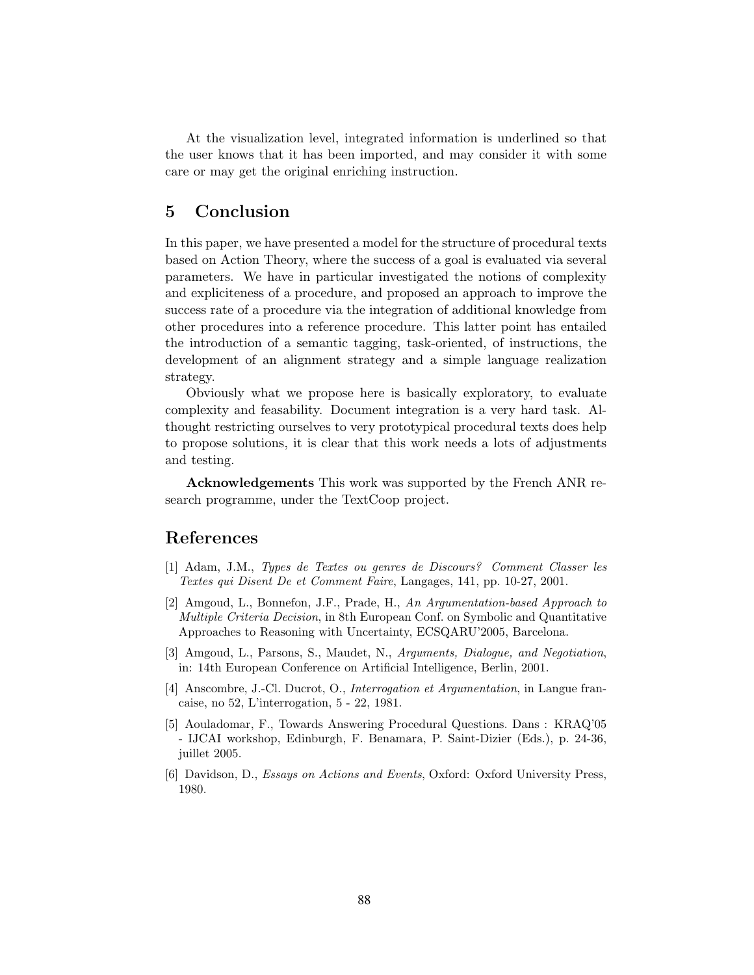At the visualization level, integrated information is underlined so that the user knows that it has been imported, and may consider it with some care or may get the original enriching instruction.

## 5 Conclusion

In this paper, we have presented a model for the structure of procedural texts based on Action Theory, where the success of a goal is evaluated via several parameters. We have in particular investigated the notions of complexity and expliciteness of a procedure, and proposed an approach to improve the success rate of a procedure via the integration of additional knowledge from other procedures into a reference procedure. This latter point has entailed the introduction of a semantic tagging, task-oriented, of instructions, the development of an alignment strategy and a simple language realization strategy.

Obviously what we propose here is basically exploratory, to evaluate complexity and feasability. Document integration is a very hard task. Althought restricting ourselves to very prototypical procedural texts does help to propose solutions, it is clear that this work needs a lots of adjustments and testing.

Acknowledgements This work was supported by the French ANR research programme, under the TextCoop project.

### References

- [1] Adam, J.M., Types de Textes ou genres de Discours? Comment Classer les Textes qui Disent De et Comment Faire, Langages, 141, pp. 10-27, 2001.
- [2] Amgoud, L., Bonnefon, J.F., Prade, H., An Argumentation-based Approach to Multiple Criteria Decision, in 8th European Conf. on Symbolic and Quantitative Approaches to Reasoning with Uncertainty, ECSQARU'2005, Barcelona.
- [3] Amgoud, L., Parsons, S., Maudet, N., Arguments, Dialogue, and Negotiation, in: 14th European Conference on Artificial Intelligence, Berlin, 2001.
- [4] Anscombre, J.-Cl. Ducrot, O., Interrogation et Argumentation, in Langue francaise, no 52, L'interrogation, 5 - 22, 1981.
- [5] Aouladomar, F., Towards Answering Procedural Questions. Dans : KRAQ'05 - IJCAI workshop, Edinburgh, F. Benamara, P. Saint-Dizier (Eds.), p. 24-36, juillet 2005.
- [6] Davidson, D., Essays on Actions and Events, Oxford: Oxford University Press, 1980.